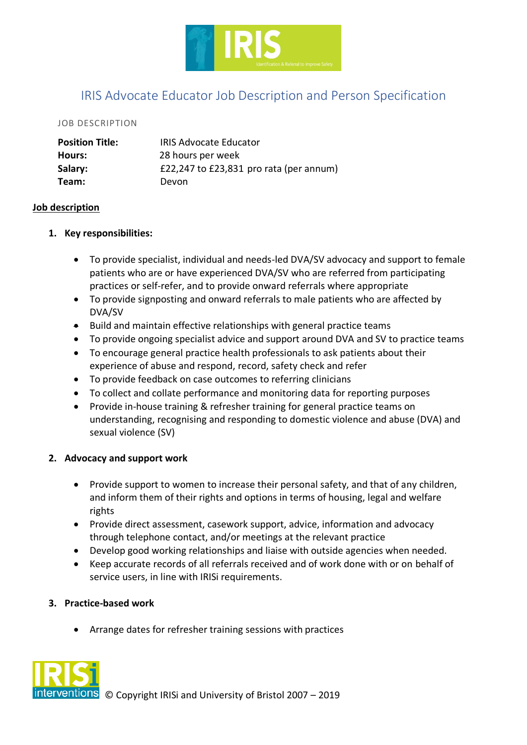

# IRIS Advocate Educator Job Description and Person Specification

#### JOB DESCRIPTION

| <b>Position Title:</b> | <b>IRIS Advocate Educator</b>           |
|------------------------|-----------------------------------------|
| Hours:                 | 28 hours per week                       |
| Salary:                | £22,247 to £23,831 pro rata (per annum) |
| Team:                  | Devon                                   |

#### **Job description**

#### **1. Key responsibilities:**

- To provide specialist, individual and needs-led DVA/SV advocacy and support to female patients who are or have experienced DVA/SV who are referred from participating practices or self-refer, and to provide onward referrals where appropriate
- To provide signposting and onward referrals to male patients who are affected by DVA/SV
- Build and maintain effective relationships with general practice teams
- To provide ongoing specialist advice and support around DVA and SV to practice teams
- To encourage general practice health professionals to ask patients about their experience of abuse and respond, record, safety check and refer
- To provide feedback on case outcomes to referring clinicians
- To collect and collate performance and monitoring data for reporting purposes
- Provide in-house training & refresher training for general practice teams on understanding, recognising and responding to domestic violence and abuse (DVA) and sexual violence (SV)

# **2. Advocacy and support work**

- Provide support to women to increase their personal safety, and that of any children, and inform them of their rights and options in terms of housing, legal and welfare rights
- Provide direct assessment, casework support, advice, information and advocacy through telephone contact, and/or meetings at the relevant practice
- Develop good working relationships and liaise with outside agencies when needed.
- Keep accurate records of all referrals received and of work done with or on behalf of service users, in line with IRISi requirements.

# **3. Practice-based work**

• Arrange dates for refresher training sessions with practices

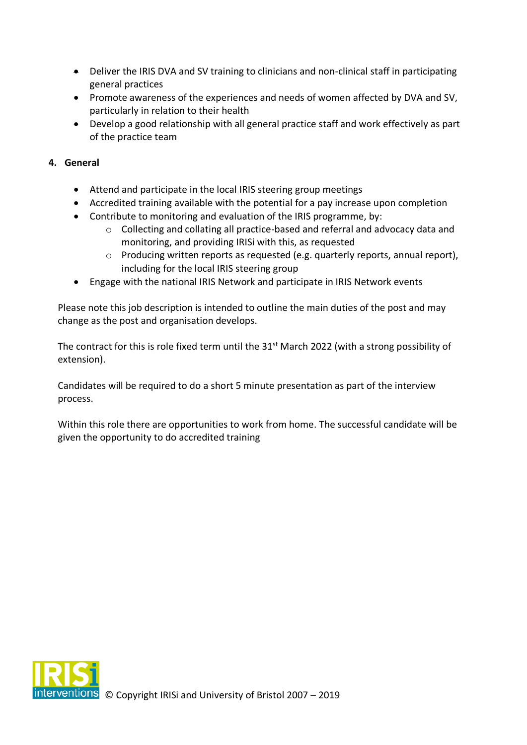- Deliver the IRIS DVA and SV training to clinicians and non-clinical staff in participating general practices
- Promote awareness of the experiences and needs of women affected by DVA and SV, particularly in relation to their health
- Develop a good relationship with all general practice staff and work effectively as part of the practice team

# **4. General**

- Attend and participate in the local IRIS steering group meetings
- Accredited training available with the potential for a pay increase upon completion
- Contribute to monitoring and evaluation of the IRIS programme, by:
	- $\circ$  Collecting and collating all practice-based and referral and advocacy data and monitoring, and providing IRISi with this, as requested
	- o Producing written reports as requested (e.g. quarterly reports, annual report), including for the local IRIS steering group
- Engage with the national IRIS Network and participate in IRIS Network events

Please note this job description is intended to outline the main duties of the post and may change as the post and organisation develops.

The contract for this is role fixed term until the 31<sup>st</sup> March 2022 (with a strong possibility of extension).

Candidates will be required to do a short 5 minute presentation as part of the interview process.

Within this role there are opportunities to work from home. The successful candidate will be given the opportunity to do accredited training